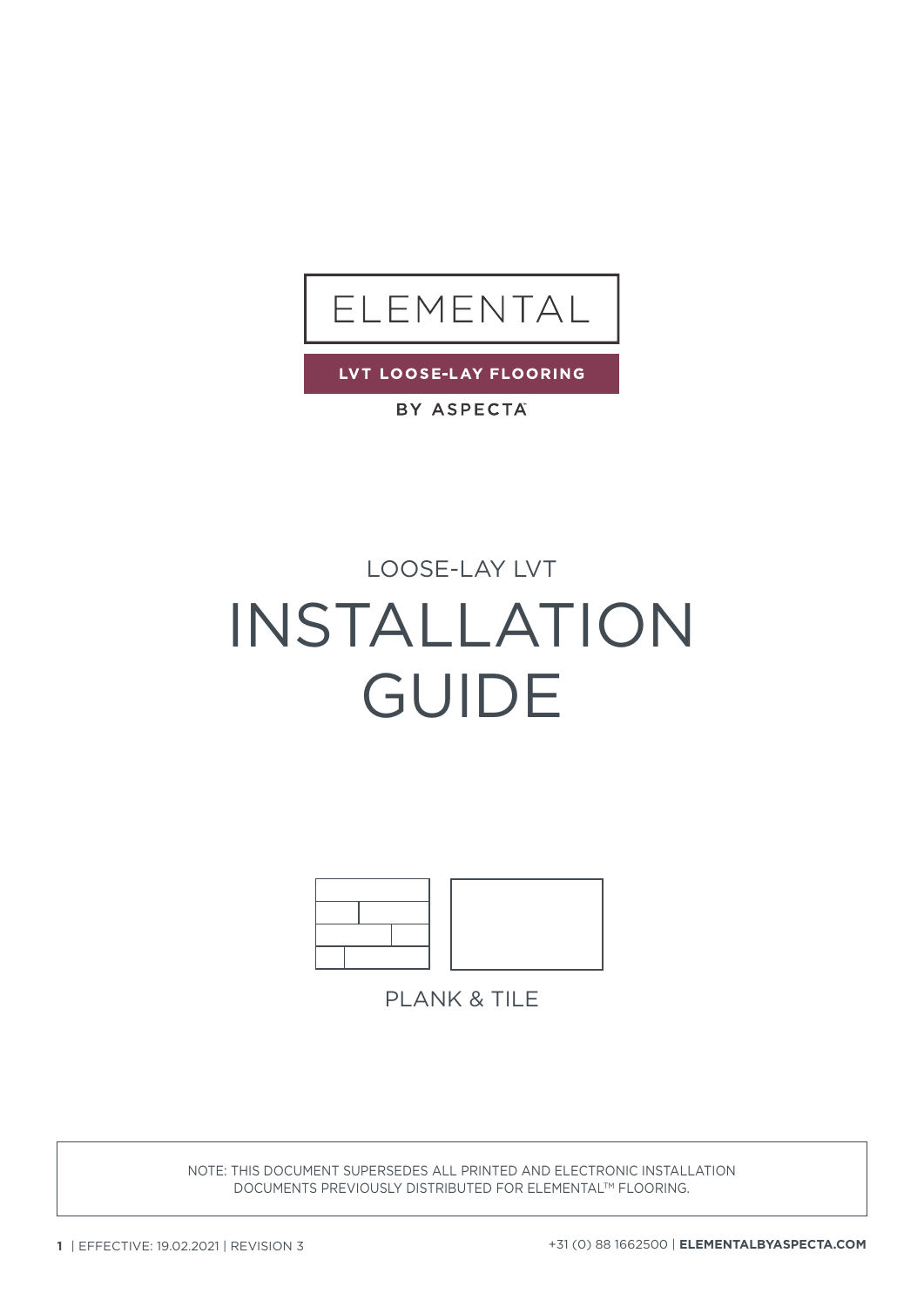

LVT LOOSE-LAY FLOORING

BY ASPECTA

### LOOSE-LAY LVT

# INSTALLATION GUIDE



**PLANK & TILE** 

NOTE: THIS DOCUMENT SUPERSEDES ALL PRINTED AND ELECTRONIC INSTALLATION DOCUMENTS PREVIOUSLY DISTRIBUTED FOR ELEMENTALTM FLOORING.

**1** | EFFECTIVE: 19.02.2021 | REVISION 3 +31 (0) 88 1662500 | **ELEMENTALBYASPECTA.COM**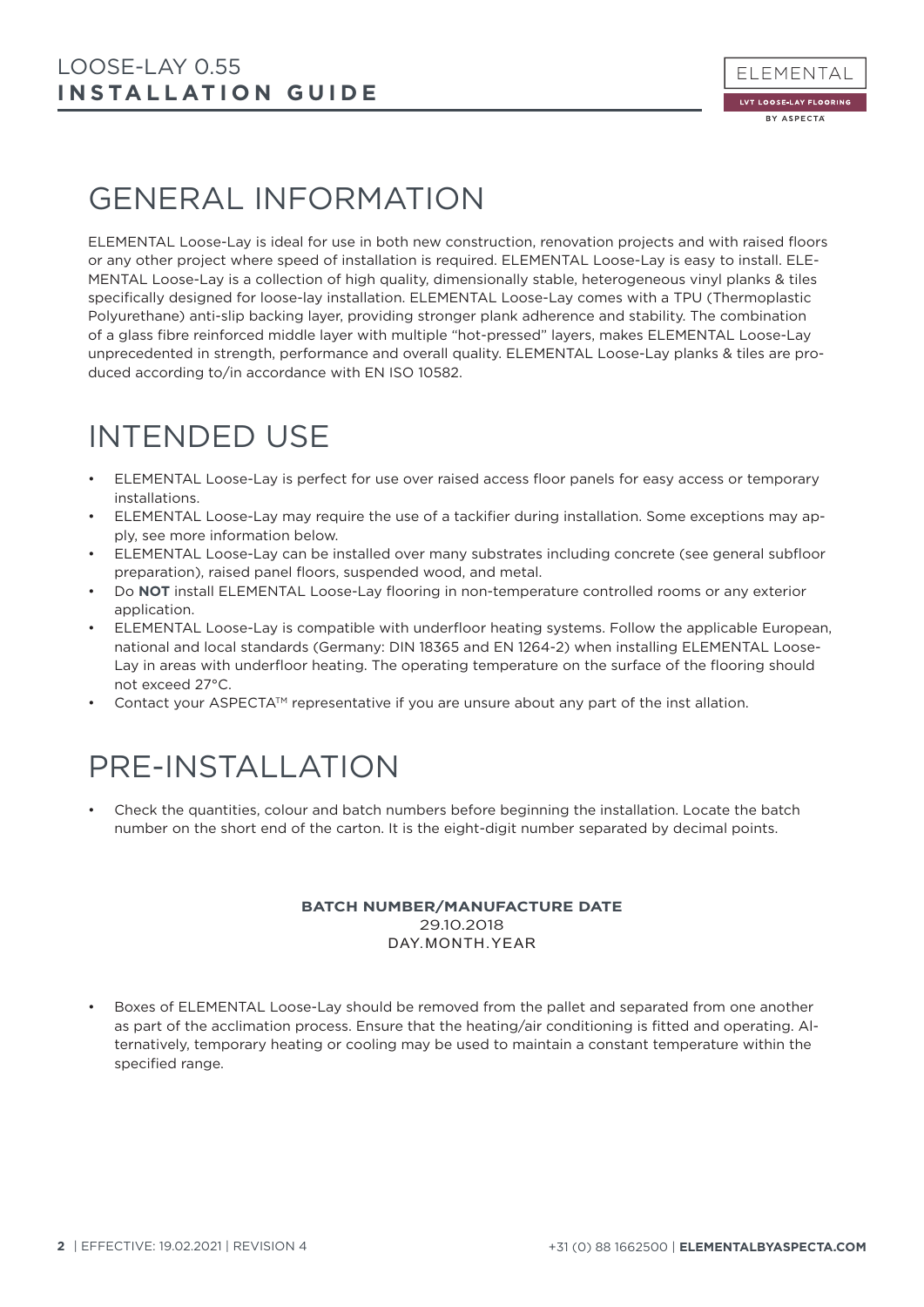### GENERAL INFORMATION

ELEMENTAL Loose-Lay is ideal for use in both new construction, renovation projects and with raised floors or any other project where speed of installation is required. ELEMENTAL Loose-Lay is easy to install. ELE-MENTAL Loose-Lay is a collection of high quality, dimensionally stable, heterogeneous vinyl planks & tiles specifically designed for loose-lay installation. ELEMENTAL Loose-Lay comes with a TPU (Thermoplastic Polyurethane) anti-slip backing layer, providing stronger plank adherence and stability. The combination of a glass fibre reinforced middle layer with multiple "hot-pressed" layers, makes ELEMENTAL Loose-Lay unprecedented in strength, performance and overall quality. ELEMENTAL Loose-Lay planks & tiles are produced according to/in accordance with EN ISO 10582.

### INTENDED USE

- ELEMENTAL Loose-Lay is perfect for use over raised access floor panels for easy access or temporary installations.
- ELEMENTAL Loose-Lay may require the use of a tackifier during installation. Some exceptions may apply, see more information below.
- ELEMENTAL Loose-Lay can be installed over many substrates including concrete (see general subfloor preparation), raised panel floors, suspended wood, and metal.
- Do **NOT** install ELEMENTAL Loose-Lay flooring in non-temperature controlled rooms or any exterior application.
- ELEMENTAL Loose-Lay is compatible with underfloor heating systems. Follow the applicable European, national and local standards (Germany: DIN 18365 and EN 1264-2) when installing ELEMENTAL Loose-Lay in areas with underfloor heating. The operating temperature on the surface of the flooring should not exceed 27°C.
- Contact your ASPECTA<sup>TM</sup> representative if you are unsure about any part of the inst allation.

## PRE-INSTALLATION

• Check the quantities, colour and batch numbers before beginning the installation. Locate the batch number on the short end of the carton. It is the eight-digit number separated by decimal points.

#### **BATCH NUMBER/MANUFACTURE DATE**  29.10.2018 DAY. MONTH. YEAR

Boxes of ELEMENTAL Loose-Lay should be removed from the pallet and separated from one another as part of the acclimation process. Ensure that the heating/air conditioning is fitted and operating. Alternatively, temporary heating or cooling may be used to maintain a constant temperature within the specified range.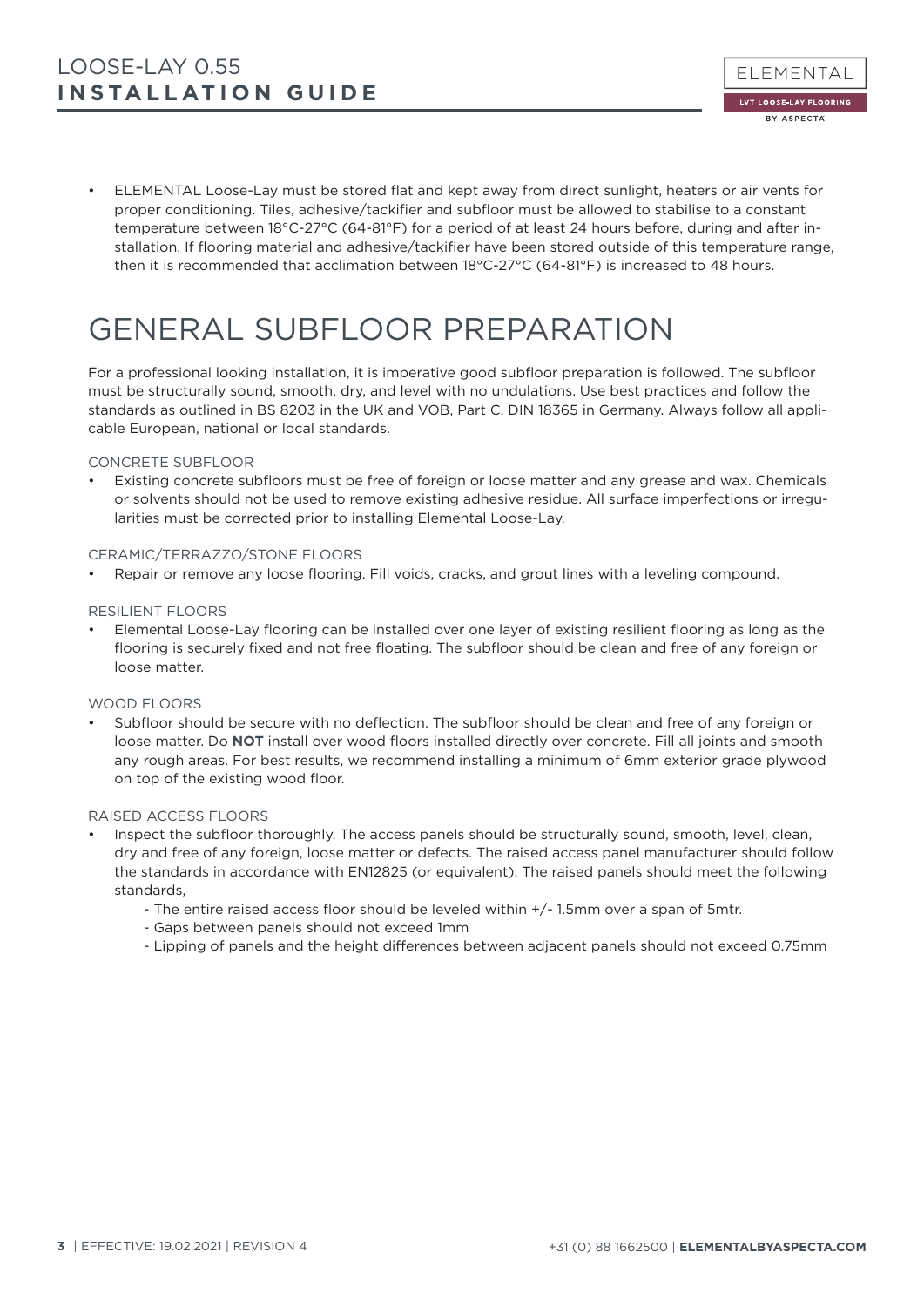• ELEMENTAL Loose-Lay must be stored flat and kept away from direct sunlight, heaters or air vents for proper conditioning. Tiles, adhesive/tackifier and subfloor must be allowed to stabilise to a constant temperature between 18°C-27°C (64-81°F) for a period of at least 24 hours before, during and after installation. If flooring material and adhesive/tackifier have been stored outside of this temperature range, then it is recommended that acclimation between 18°C-27°C (64-81°F) is increased to 48 hours.

### GENERAL SUBFLOOR PREPARATION

For a professional looking installation, it is imperative good subfloor preparation is followed. The subfloor must be structurally sound, smooth, dry, and level with no undulations. Use best practices and follow the standards as outlined in BS 8203 in the UK and VOB, Part C, DIN 18365 in Germany. Always follow all applicable European, national or local standards.

#### CONCRETE SUBFLOOR

• Existing concrete subfloors must be free of foreign or loose matter and any grease and wax. Chemicals or solvents should not be used to remove existing adhesive residue. All surface imperfections or irregularities must be corrected prior to installing Elemental Loose-Lay.

#### CERAMIC/TERRAZZO/STONE FLOORS

• Repair or remove any loose flooring. Fill voids, cracks, and grout lines with a leveling compound.

#### RESILIENT FLOORS

• Elemental Loose-Lay flooring can be installed over one layer of existing resilient flooring as long as the flooring is securely fixed and not free floating. The subfloor should be clean and free of any foreign or loose matter.

#### WOOD ELOOPS

• Subfloor should be secure with no deflection. The subfloor should be clean and free of any foreign or loose matter. Do **NOT** install over wood floors installed directly over concrete. Fill all joints and smooth any rough areas. For best results, we recommend installing a minimum of 6mm exterior grade plywood on top of the existing wood floor.

#### RAISED ACCESS FLOORS

- Inspect the subfloor thoroughly. The access panels should be structurally sound, smooth, level, clean, dry and free of any foreign, loose matter or defects. The raised access panel manufacturer should follow the standards in accordance with EN12825 (or equivalent). The raised panels should meet the following standards,
	- The entire raised access floor should be leveled within +/- 1.5mm over a span of 5mtr.
	- Gaps between panels should not exceed 1mm
	- Lipping of panels and the height differences between adjacent panels should not exceed 0.75mm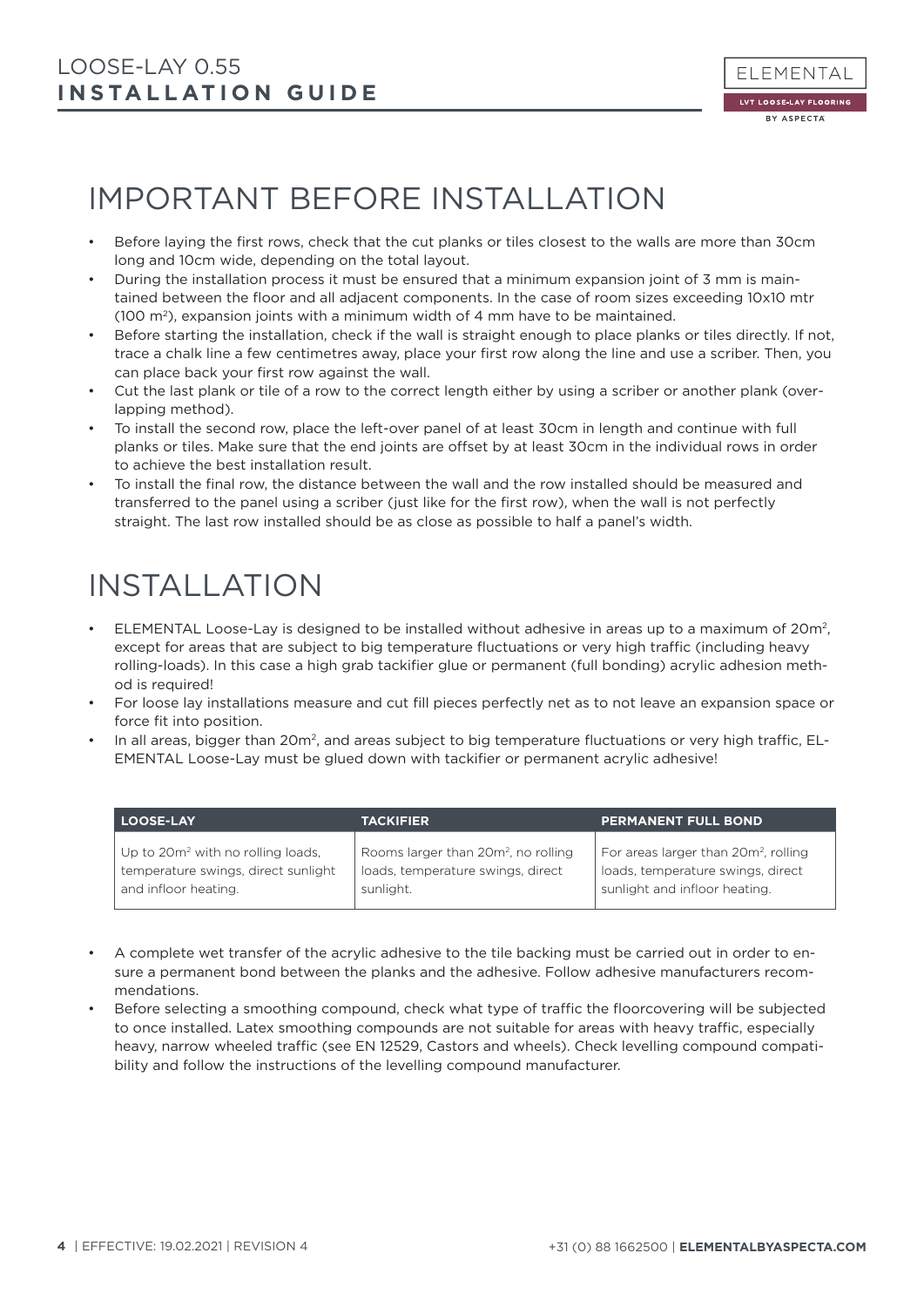### IMPORTANT BEFORE INSTALLATION

- Before laying the first rows, check that the cut planks or tiles closest to the walls are more than 30cm long and 10cm wide, depending on the total layout.
- During the installation process it must be ensured that a minimum expansion joint of 3 mm is maintained between the floor and all adjacent components. In the case of room sizes exceeding 10x10 mtr (100  $\mathrm{m}^2$ ), expansion joints with a minimum width of 4 mm have to be maintained.
- Before starting the installation, check if the wall is straight enough to place planks or tiles directly. If not, trace a chalk line a few centimetres away, place your first row along the line and use a scriber. Then, you can place back your first row against the wall.
- Cut the last plank or tile of a row to the correct length either by using a scriber or another plank (overlapping method).
- To install the second row, place the left-over panel of at least 30cm in length and continue with full planks or tiles. Make sure that the end joints are offset by at least 30cm in the individual rows in order to achieve the best installation result.
- To install the final row, the distance between the wall and the row installed should be measured and transferred to the panel using a scriber (just like for the first row), when the wall is not perfectly straight. The last row installed should be as close as possible to half a panel's width.

### INSTALLATION

- ELEMENTAL Loose-Lay is designed to be installed without adhesive in areas up to a maximum of 20m2, except for areas that are subject to big temperature fluctuations or very high traffic (including heavy rolling-loads). In this case a high grab tackifier glue or permanent (full bonding) acrylic adhesion method is required!
- For loose lay installations measure and cut fill pieces perfectly net as to not leave an expansion space or force fit into position.
- In all areas, bigger than 20m<sup>2</sup>, and areas subject to big temperature fluctuations or very high traffic. EL-EMENTAL Loose-Lay must be glued down with tackifier or permanent acrylic adhesive!

| <b>LOOSE-LAY</b>                              | <b>TACKIFIER</b>                                | <b>PERMANENT FULL BOND</b>                       |
|-----------------------------------------------|-------------------------------------------------|--------------------------------------------------|
| Up to 20m <sup>2</sup> with no rolling loads, | Rooms larger than 20m <sup>2</sup> , no rolling | For areas larger than 20m <sup>2</sup> , rolling |
| temperature swings, direct sunlight           | loads, temperature swings, direct               | loads, temperature swings, direct                |
| and infloor heating.                          | sunlight.                                       | sunlight and infloor heating.                    |

- A complete wet transfer of the acrylic adhesive to the tile backing must be carried out in order to ensure a permanent bond between the planks and the adhesive. Follow adhesive manufacturers recommendations.
- Before selecting a smoothing compound, check what type of traffic the floorcovering will be subjected to once installed. Latex smoothing compounds are not suitable for areas with heavy traffic, especially heavy, narrow wheeled traffic (see EN 12529, Castors and wheels). Check levelling compound compatibility and follow the instructions of the levelling compound manufacturer.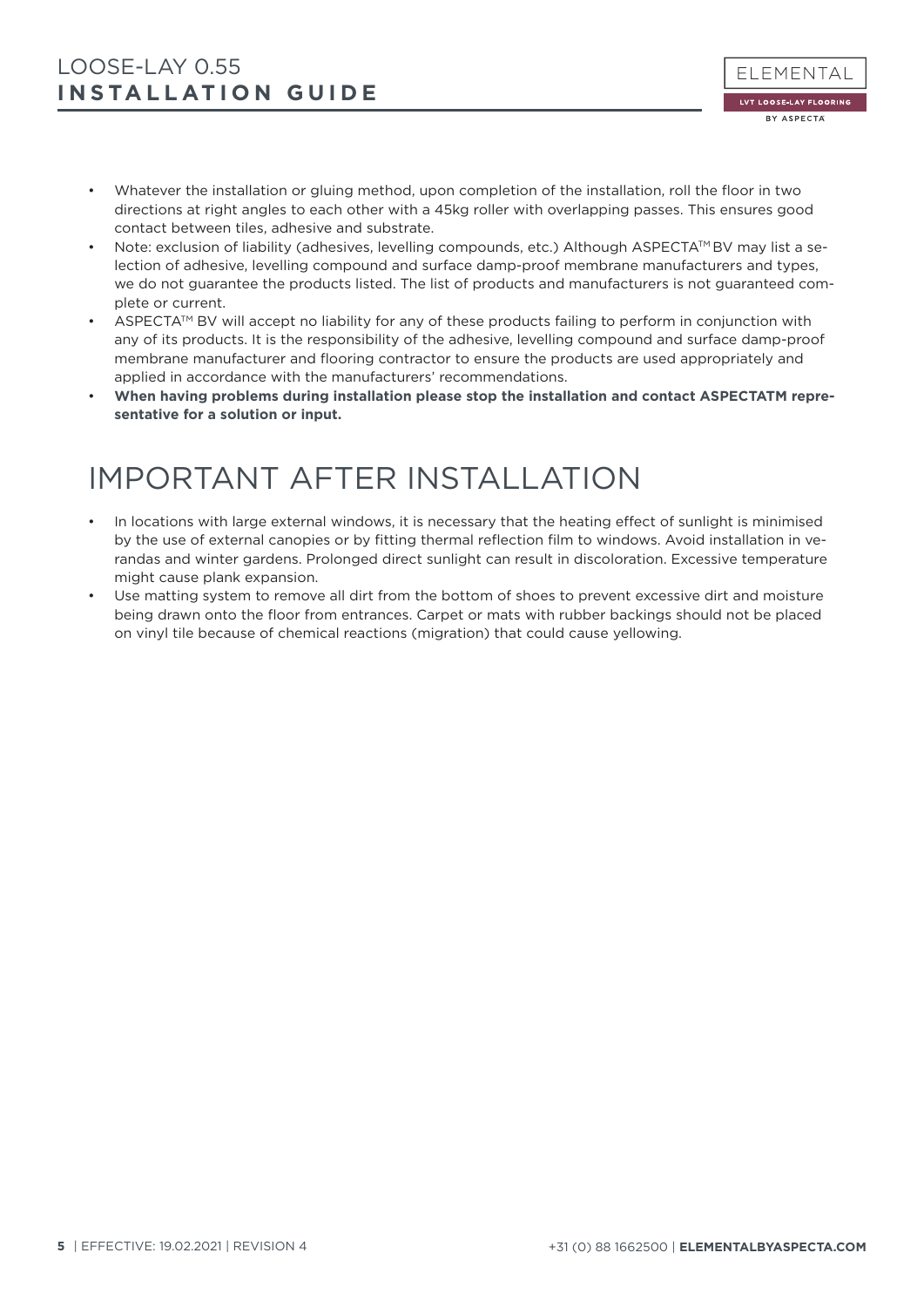- Whatever the installation or gluing method, upon completion of the installation, roll the floor in two directions at right angles to each other with a 45kg roller with overlapping passes. This ensures good contact between tiles, adhesive and substrate.
- Note: exclusion of liability (adhesives, levelling compounds, etc.) Although ASPECTATM BV may list a selection of adhesive, levelling compound and surface damp-proof membrane manufacturers and types, we do not guarantee the products listed. The list of products and manufacturers is not guaranteed complete or current.
- $\triangle$ SPECTA<sup>TM</sup> BV will accept no liability for any of these products failing to perform in conjunction with any of its products. It is the responsibility of the adhesive, levelling compound and surface damp-proof membrane manufacturer and flooring contractor to ensure the products are used appropriately and applied in accordance with the manufacturers' recommendations.
- **When having problems during installation please stop the installation and contact ASPECTATM representative for a solution or input.**

### IMPORTANT AFTER INSTALLATION

- In locations with large external windows, it is necessary that the heating effect of sunlight is minimised by the use of external canopies or by fitting thermal reflection film to windows. Avoid installation in verandas and winter gardens. Prolonged direct sunlight can result in discoloration. Excessive temperature might cause plank expansion.
- Use matting system to remove all dirt from the bottom of shoes to prevent excessive dirt and moisture being drawn onto the floor from entrances. Carpet or mats with rubber backings should not be placed on vinyl tile because of chemical reactions (migration) that could cause yellowing.

ELEMENTAL LVT LOOSE-LAY FLOORING BY ASPECTA